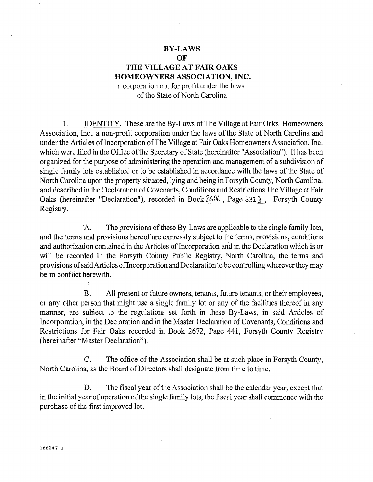#### **BY-LAWS**

**OF** 

# **THE VILLAGE AT FAIR OAKS HOMEOWNERS ASSOCIATION, INC.**

a corporation not for profit under the laws of the State of North Carolina

1. IDENTITY. These are the By-Laws of The Village at Fair Oaks Homeowners Association, Inc., a non-profit corporation under the laws of the State of North Carolina and under the Articles of Incorporation of The Village at Fair Oaks Homeowners Association, Inc. which were filed in the Office of the Secretary of State (hereinafter "Association"). It has been organized for the purpose of administering the operation and management of a subdivision of single family lots established or to be established in accordance with the laws of the State of North Carolina upon the property situated, lying and being in Forsyth County, North Carolina, and described in the Declaration of Covenants, Conditions and Restrictions The Village at Fair Oaks (hereinafter "Declaration"), recorded in Book  $2686$ , Page 332.3, Forsyth County Registry.

A. The provisions of these By-Laws are applicable to the single family lots, and the terms and provisions hereof are expressly subject to the terms, provisions, conditions and authorization contained in the Articles of Incorporation and in the Declaration which is or will be recorded in the Forsyth County Public Registry, North Carolina, the terms and provisions of said Articles oflncorporation and Declaration to be controlling wherever they may be in conflict herewith.

B. All present or future owners, tenants, future tenants, or their employees, or any other person that might use a single family lot or any of the facilities thereof in any manner, are subject to the regulations set forth in these By-Laws, in said Articles of Incorporation, in the Declaration and in the Master Declaration of Covenants, Conditions and Restrictions for Fair Oaks recorded in Book 2672, Page 441, Forsyth County Registry (hereinafter "Master Declaration").

C. The office of the Association shall be at such place in Forsyth County, North Carolina, as the Board of Directors shall designate from time to time.

D. The fiscal year of the Association shall be the calendar year, except that in the initial year of operation of the single family lots, the fiscal year shall commence with the purchase of the first improved lot.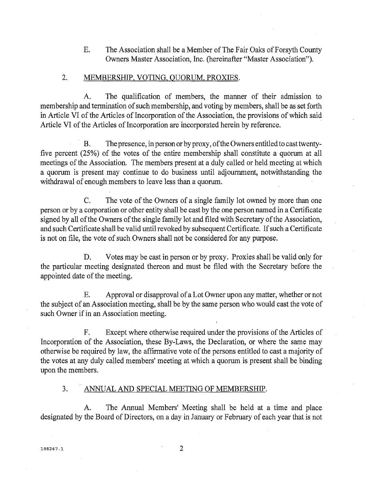E. The Association shall be a Member of The Fair Oaks of Forsyth County Owners Master Association, Inc. (hereinafter "Master Association").

#### 2. MEMBERSHIP, VOTING, QUORUM, PROXIES.

A. The qualification of members, the manner of their admission to membership and termination of such membership, and voting by members, shall be as set forth in Article VI of the Articles of Incorporation of the Association, the provisions of which said Article VI of the Articles of Incorporation are incorporated herein by reference.

B. The presence, in person or by proxy, of the Owners entitled to cast twentyfive percent (25%) of the votes of the entire membership shall constitute a quorum at all meetings of the Association. The members present at a duly called or held meeting at which a quorum is present may continue to do business until adjournment, notwithstanding the withdrawal of enough members to leave less than a quorum.

C. The vote of the Owners of a single family lot owned by more than one person or by a corporation or other entity shall be cast by the one person named in a Certificate signed by all of the Owners of the single family lot and filed with Secretary of the Association, and such Certificate shall be valid until revoked by subsequent Certificate. If such a Certificate is not on file, the vote of such Owners shall not be considered for any purpose.

D. Votes may be cast in person or by proxy. Proxies shall be valid only for the particular meeting designated thereon and must be filed with the Secretary before the appointed date of the meeting.

E. Approval or disapproval of a Lot Owner upon any matter, whether or not the subject of an Association meeting, shall be by the same person who would cast the vote of such Owner if in an Association meeting.

F. Except where otherwise required under the provisions of the Articles of Incorporation of the Association, these By-Laws, the Declaration, or where the same may otherwise be required by law, the affirmative vote of the persons entitled to cast a majority of the votes at any duly called members' meeting at which a quorum is present shall be binding upon the members.

## 3. ANNUAL AND SPECIAL MEETING OF MEMBERSHIP.

A. The Annual Members' Meeting shall be held at a time and place designated by the Board of Directors, on a day in January or February of each year that is not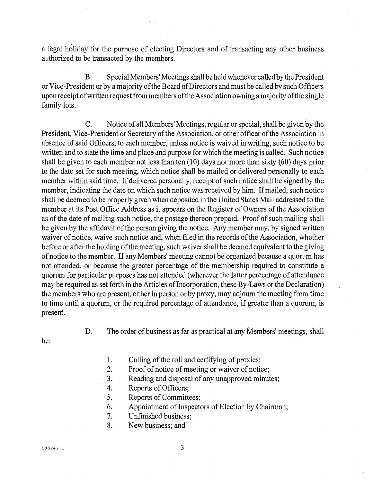a legal holiday for the purpose of electing Directors and of transacting any other business authorized to be transacted by the members.

B. Special Members' Meetings shall be held whenever called by the President or Vice-President or by a majority of the Board of Directors and must be called by such Officers upon receipt of written request from members of the Association owning a majority ofthe single family lots.

C. Notice of all Members' Meetings, regular or special, shall be given by the President, Vice-President or Secretary of the Association, or other officer of the Association in absence of said Officers, to each member, unless notice is waived in writing, such notice to be written and to state the time and place and purpose for which the meeting is called. Such notice shall be given to each member not less than ten (10) days nor more than sixty (60) days prior to the date set for such meeting, which notice shall be mailed or delivered personally to each member within said time. If delivered personally, receipt of such notice shall be signed by the member, indicating the date on which such notice was received by him. If mailed, such notice shall be deemed to be properly given when deposited in the United States Mail addressed to the member at its Post Office Address as it appears on the Register of Owners of the Association as of the date of mailing such notice, the postage thereon prepaid. Proof of such mailing shall be given by the affidavit of the person giving the notice. Any member may, by signed written waiver of notice, waive such notice and, when filed in the records of the Association, whether before or after the holding of the meeting, such waiver shall be deemed equivalent to the giving of notice to the member. If any Members' meeting cannot be organized because a quorum has not attended, or because the greater percentage of the membership required to constitute a quorum for particular purposes has not attended (wherever the latter percentage of attendance may be required as set forth in the Articles of Incorporation, these By-Laws or the Declaration) the members who are present, either in person or by proxy, may adjourn the meeting from time to time until a quorum, or the required percentage of attendance, if greater than a quorum, is present.

be:

D. The order of business as far as practical at any Members' meetings, shall

1. Calling of the roll and certifying of proxies;

- 2. Proof of notice of meeting or waiver of notice;
- 3. Reading and disposal of any unapproved minutes;
- 4. Reports of Officers;
- 5. Reports of Committees;
- 6. Appointment of Inspectors of Election by Chairman;
- 7. Unfinished business;
- 8. New business; and

3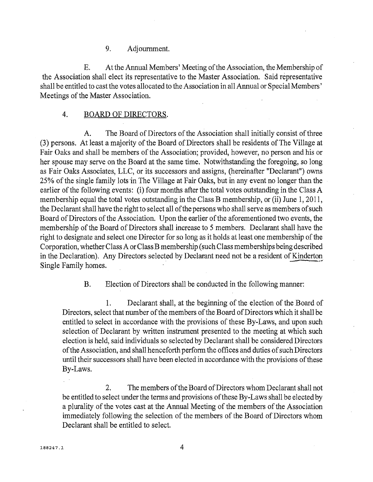## 9. Adjournment.

E. At the Annual Members' Meeting of the Association, the Membership of the Association shall elect its representative to the Master Association. Said representative shall be entitled to cast the votes allocated to the Association in all Annual or Special Members' Meetings of the Master Association.

#### 4. BOARD OF DIRECTORS.

A. The Board of Directors of the Association shall initially consist of three (3) persons. At least a majority of the Board of Directors shall be residents of The Village at Fair Oaks and shall be members of the Association; provided, however, no person and his or her spouse may serve on the Board at the same time. Notwithstanding the foregoing, so long as Fair Oaks Associates, LLC, or its successors and assigns, (hereinafter "Declarant") owns 25% of the single family lots 'in The Village at Fair Oaks, but in any event no longer than the earlier of the following events: (i) four months after the total votes outstanding in the Class A membership equal the total votes outstanding in the Class B membership, or (ii) June 1, 2011, the Declarant shall have the right to select all of the persons who shall serve as members of such Board of Directors of the Association. Upon the earlier of the aforementioned two events, the membership of the Board of Directors shall increase to 5 members. Declarant shall have the right to designate and select one Director for so long as it holds at least one membership of the Corporation, whether Class A or Class B membership (such Class memberships being described in the Declaration). Any Directors selected by Declarant need not be a resident of Kinderton Single Family homes.

B. Election of Directors shall be conducted in the following manner:

1. Declarant shall, at the beginning of the election of the Board of Directors, select that number of the members of the Board of Directors which it shall be entitled to select in accordance with the provisions of these By-Laws, and upon such selection of Declarant by written instrument presented to the meeting at which such election is held, said individuals so selected by Declarant shall be considered Directors of the Association, and shall henceforth perform the offices and duties of such Directors until their successors shall have been elected in accordance with the provisions of these By-Laws.

2. The members of the Board of Directors whom Declarant shall not be entitled to select under the terms and provisions of these By-Laws shall be elected by a plurality of the votes cast at the Annual Meeting of the members of the Association immediately following the selection of the members of the Board of Directors whom Declarant shall be entitled to select.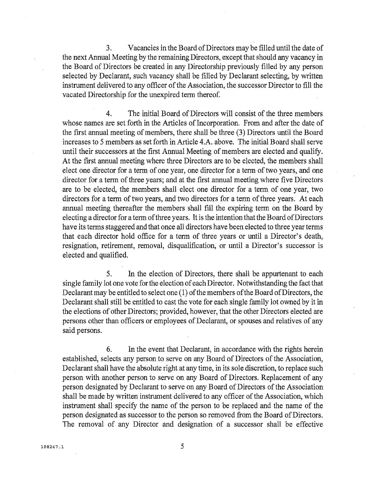3. Vacancies in the Board of Directors may be filled until the date of the next Annual Meeting by the remaining Directors, except that should any vacancy in the Board of Directors be created in any Directorship previously filled by any person selected by Declarant, such vacancy shall be filled by Declarant selecting, by written instrument delivered to any officer of the Association, the successor Director to fill the vacated Directorship for the unexpired term thereof.

4. The initial Board of Directors will consist of the three members whose names are set forth in the Articles of Incorporation. From and after the date of the first annual meeting of members, there shall be three (3) Directors until the Board increases to 5 members as set forth in Article 4.A. above. The initial Board shall serve until their successors at the first Annual Meeting of members are elected and qualify. At the first annual meeting where three Directors are to be elected, the members shall elect one director for a term of one year, one director for a term of two years, and one director for a term of three years; and at the first annual meeting where five Directors are to be elected, the members shall elect one director for a term of one year, two directors for a term of two years, and two directors for a term of three years. At each annual meeting thereafter the members shall fill the expiring term on the Board by electing a director for a term of three years. It is the intention that the Board of Directors have its terms staggered and that once all directors have been elected to three year terms that each director hold office for a term of three years or until a Director's death, resignation, retirement, removal, disqualification, or until a Director's successor is elected and qualified.

5. **In** the election of Directors, there shall be appurtenant to each single family lot one vote for the election of each Director. Notwithstanding the fact that Declarant may be entitled to select one (1) of the members of the Board of Directors, the Declarant shall still be entitled to cast the vote for each single family lot owned by it in the elections of other Directors; provided, however, that the other Directors elected are persons other than officers or employees of Declarant, or spouses and relatives of any said persons.

6. In the event that Declarant, in accordance with the rights herein established, selects any person to serve on any Board of Directors of the Association, Declarant shall have the absolute right at any time, in its sole discretion, to replace such person with another person to serve on any Board of Directors. Replacement of any person designated by Declarant to serve on any Board of Directors of the Association shall be made by written instrument delivered to any officer of the Association, which instrument shall specify the name of the person to be replaced and the name of the person designated as successor to the person so removed from the Board of Directors. The removal of any Director and designation of a successor shall be effective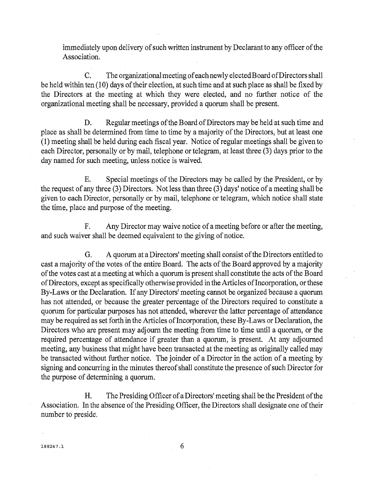immediately upon delivery of such written instrument by Declarant to any officer of the Association.

C. The organizational meeting of each newly elected Board of Directors shall be held within ten (l0) days of their election, at such time and at such place as shall be fixed by the Directors at the meeting at which they were elected, and no further notice of the organizational meeting shall be necessary, provided a quorum shall be present.

D. Regular meetings of the Board of Directors may be held at such time and place as shall be determined from time to time by a majority of the Directors, but at least one (1) meeting shall be held during each fiscal year. Notice of regular meetings shall be given to each Director, personally or by mail, telephone or telegram, at least three (3) days prior to the day named for such meeting, unless notice is waived.

E. Special meetings of the Directors may be called by the President, or by the request of any three (3) Directors. Not less than three (3) days' notice of a meeting shall be given to each Director, personally or by mail, telephone or telegram, which notice shall state the time, place and purpose of the meeting.

F. Any Director may waive notice of a meeting before or after the meeting, and such waiver shall be deemed equivalent to the giving of notice.

G. A quorum at a Directors' meeting shall consist of the Directors entitled to cast a majority of the votes of the entire Board. The acts of the Board approved by a majority of the votes cast at a meeting at which a quorum is present shall constitute the acts of the Board of Directors, except as specifically otherwise provided in the Articles of Incorporation, or these By-Laws or the Declaration. If any Directors' meeting cannot be organized because a quorum has not attended, or because the greater percentage of the Directors required to constitute a quorum for particular purposes has not attended, wherever the latter percentage of attendance may be required as set forth in the Articles of Incorporation, these By-Laws or Declaration, the Directors who are present may adjourn the meeting from time to time until a quorum, or the required percentage of attendance if greater than a quorum, is present. At any adjourned meeting, any business that might have been transacted at the meeting as originally called may be transacted without further notice. The joinder of a Director in the action of a meeting by signing and concurring in the minutes thereof shall constitute the presence of such Director for the purpose of determining a quorum.

H. The Presiding Officer of a Directors' meeting shall be the President of the Association. In the absence of the Presiding Officer, the Directors shall designate one of their number to preside.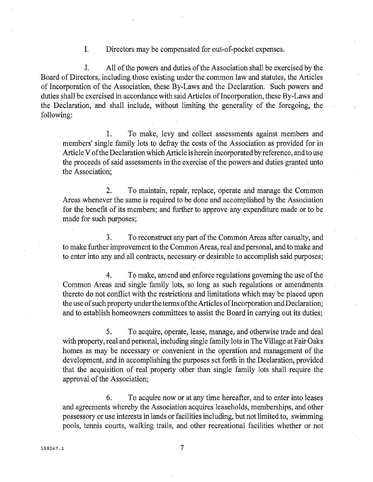1. Directors may be compensated for out-of-pocket expenses.

1. All of the powers and duties of the Association shall be exercised by the Board of Directors, including those existing under the common law and statutes, the Articles of Incorporation of the Association, these By-Laws and the Declaration. Such powers and duties shall be exercised in accordance with said Articles of Incorporation, these By-Laws and the Declaration, and shall include, without limiting the generality of the foregoing, the following:

1. To make, levy and collect assessments against members and members' single family lots to defray the costs of the Association as provided for in Article V ofthe Declaration which Article is herein incorporated by reference, and to use the proceeds of said assessments in the exercise of the powers and duties granted unto the Association;

2. To maintain, repair, replace, operate and manage the Common Areas whenever the same is required to be done and accomplished by the Association for the benefit of its members; and further to approve any expenditure made or to be made for such purposes;

3. To reconstruct any part of the Common Areas after casualty, and to make further improvement to the Common Areas, real and personal, and to make and to enter into any and all contracts, necessary or desirable to accomplish said purposes;

4. To make, amend and enforce regulations governing the use of the Common Areas and single family lots, so long as such regulations or amendments thereto do not conflict with the restrictions and limitations which may be placed upon the use of such property under the terms of the Articles of Incorporation and Declaration; and to establish homeowners committees to assist the Board in carrying out its duties;

5. To acquire, operate, lease, manage, and otherwise trade and deal with property, real and personal, including single family lots in The Village at Fair Oaks homes as may be necessary or convenient in the operation and management of the development, and in accomplishing the purposes set forth in the Declaration, provided that the acquisition of real property other than single family lots shall require the approval of the Association;

6. To acquire now or at any time hereafter, and to enter into leases and agreements whereby the Association acquires leaseholds, memberships, and other possessory or use interests in lands or facilities including, but not limited to, swimming pools, tennis courts, walking trails, and other recreational facilities whether or not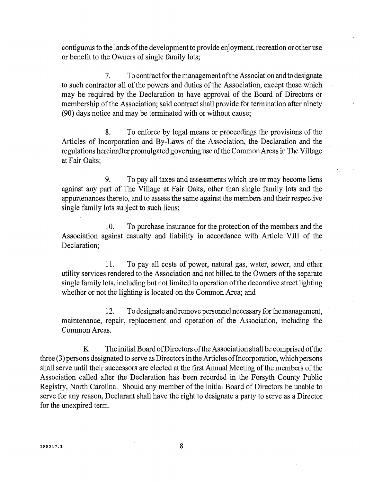contiguous to the lands of the development to provide enjoyment, recreation or other use or benefit to the Owners of single family lots;

7. To contract for the management ofthe Association and to designate to such contractor all of the powers and duties of the Association, except those which may be required by the Declaration to have approval of the Board of Directors or membership of the Association; said contract shall provide for termination after ninety (90) days notice and may be terminated with or without cause;

8. To enforce by legal means or proceedings the provisions of the Articles of Incorporation and By-Laws of the Association, the Declaration and the regulations hereinafter promulgated governing use ofthe Common Areas in The Village at Fair Oaks;

9. To pay all taxes and assessments which are or may become liens against any part of The Village at Fair Oaks, other than single family lots and the appurtenances thereto, and to assess the same against the members and their respective single family lots subject to such liens;

10. To purchase insurance for the protection of the members and the Association against casualty and liability in accordance with Article VIII of the Declaration;

11. To pay all costs of power, natural gas, water, sewer, and other utility services rendered to the Association and not billed to the Owners of the separate single family lots, including but not limited to operation of the decorative street lighting whether or not the lighting is located on the Common Area; and

12. To designate and remove personnel necessary for the management, maintenance, repair, replacement and operation of the Association, including the Common Areas.

K. The initial Board of Directors of the Association shall be comprised of the three (3) persons designated to serve as Directors in the Articles ofIncorporation, which persons shall serve until their successors are elected at the first Annual Meeting of the members of the Association called after the Declaration has been recorded in the Forsyth County Public Registry, North Carolina. Should any member of the initial Board of Directors be unable to serve for any reason, Declarant shall have the right to designate a party to serve as a Director for the unexpired term.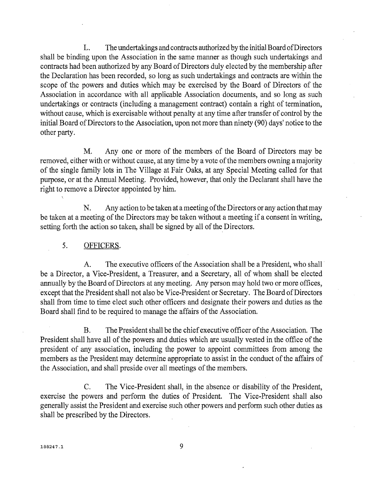L. The undertakings and contracts authorized by the initial Board of Directors shall be binding upon the Association in the same manner as though such undertakings and contracts had been authorized by any Board of Directors duly elected by the membership after the Declaration has been recorded, so long as such undertakings and contracts are within the scope of the powers and duties which may be exercised by the Board of Directors of the Association in accordance with all applicable Association documents, and so long as such undertakings or contracts (including a management contract) contain a right of termination, without cause, which is exercisable without penalty at any time after transfer of control by the initial Board of Directors to the Association, upon not more than ninety (90) days' notice to the other party.

M. Anyone or more of the members of the Board of Directors may be removed, either with or without cause, at any time by a vote of the members owning a majority of the single family lots in The Village at Fair Oaks, at any Special Meeting called for that purpose, or at the Annual Meeting. Provided, however, that only the Declarant shall have the right to remove a Director appointed by him.

N. Any action to be taken at a meeting of the Directors or any action that may be taken at a meeting of the Directors may be taken without a meeting if a consent in writing, setting forth the action so taken, shall be signed by all of the Directors.

## 5. OFFICERS.

A. The executive officers of the Association shall be a President, who shall . be a Director, a Vice-President, a Treasurer, and a Secretary, all of whom shall be elected annually by the Board of Directors at any meeting. Any person may hold two or more offices, except that the President shall not also be Vice-President or Secretary. The Board of Directors shall from time to time elect such other officers and designate their powers and duties as the Board shall fmd to be required to manage the affairs of the Association.

B. The President shall be the chief executive officer of the Association. The President shall have all of the powers and duties which are usually vested in the office of the president of any association, including the power to appoint committees from among the members as the President may determine appropriate to assist in the conduct of the affairs of the Association, and shall preside over all meetings of the members.

C. The Vice-President shall, in the absence or disability of the President, exercise the powers and perform the duties of President. The Vice-President shall also generally assist the President and exercise such other powers and perform such other duties as shall be prescribed by the Directors.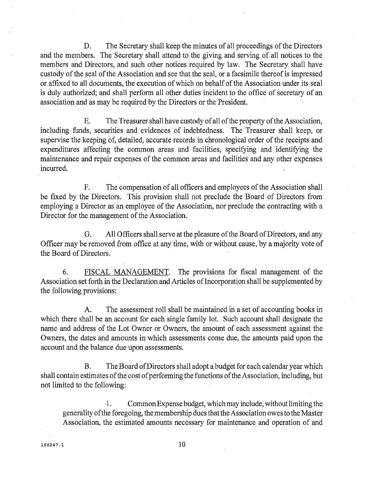D. The Secretary shall keep the minutes of all proceedings of the Directors and the members. The Secretary shall attend to the giving and serving of all notices to the members and Directors, and such other notices required by law. The Secretary shall have custody of the seal of the Association and see that the seal, or a facsimile thereof is impressed or affixed to all documents, the execution of which on behalf of the Association under its seal is duly authorized; and shall perform all other duties incident to the office of secretary of an association and as may be required by the Directors or the President.

E. The Treasurer shall have custody of all of the property of the Association, including funds, securities and evidences of indebtedness. The Treasurer shall keep, or supervise the keeping of, detailed, accurate records in chronological order of the receipts and expenditures affecting the common areas and facilities, specifying and identifying the maintenance and repair expenses of the common areas and facilities and any other expenses incurred.

F. The compensation of all officers and employees of the Association shall be fixed by the Directors. This provision shall not preclude the Board of Directors from employing a Director as an employee of the Association, nor preclude the contracting with a Director for the management of the Association.

G. All Officers shall serve at the pleasure of the Board of Directors, and any Officer may be removed from office at any time, with or without cause, by a majority vote of the Board of Directors.

6. FISCAL MANAGEMENT. The provisions for fiscal management of the Association set forth in the Declaration and Articles of Incorporation shall be supplemented by the following provisions:

A. The assessment roll shall be maintained in a set of accounting books in which there shall be an account for each single family lot. Such account shall designate the name and address of the Lot Owner or Owners, the amount of each assessment against the Owners, the dates and amounts in which assessments come due, the amounts paid upon the account and the balance due upon assessments.

B. The Board of Directors shall adopt a budget for each calendar year which shall contain estimates of the cost of performing the functions of the Association, including, but not limited to the following:

1. Common Expense budget, which may include, without limiting the generality ofthe foregoing, the membership dues that the Association owes to the Master Association, the estimated amounts necessary for maintenance and operation of and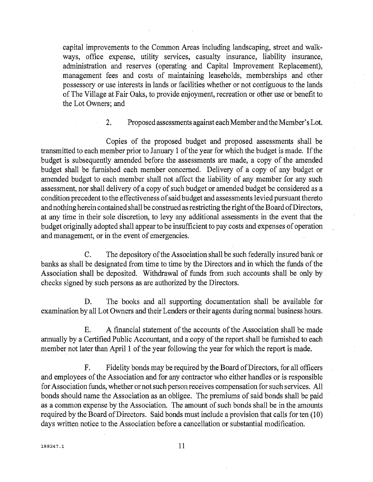capital improvements to the Common Areas including landscaping, street and walkways, office expense, utility services, casualty insurance, liability insurance, administration and reserves (operating and Capital Improvement Replacement), management fees and costs of maintaining leaseholds, memberships and other possessory or use interests in lands or facilities whether or not contiguous to the lands of The Village at Fair Oaks, to provide enjoyment, recreation or other use or benefit to the Lot Owners; and

2. Proposed assessments against each Member and the Member's Lot.

Copies of the proposed budget and proposed assessments shall be transmitted to each member prior to January 1 ofthe year for which the budget is made. If the budget is subsequently amended before the assessments are made, a copy of the amended budget shall be furnished each member concerned. Delivery of a copy of any budget or amended budget to each member shall not affect the liability of any member for any such assessment, nor shall delivery of a copy of such budget or amended budget be considered as a condition precedent to the effectiveness of said budget and assessments levied pursuant thereto and nothing herein contained shall be construed as restricting the right of the Board of Directors, at any time in their sole discretion, to levy any additional assessments in the event that the budget originally adopted shall appear to be insufficient to pay costs and expenses of operation and management, or in the event of emergencies.

C. The depository of the Association shall be such federally insured bank or banks as shall be designated from time to time by the Directors and in which the funds of the Association shall be deposited. Withdrawal of funds from such accounts shall be only by checks signed by such persons as are authorized by the Directors.

D. The books and all supporting documentation shall be available for examination by all Lot Owners and their Lenders or their agents during normal business hours.

E. A financial statement of the accounts of the Association shall be made annually by a Certified Public Accountant, and a copy of the report shall be furnished to each member not later than April 1 of the year following the year for which the report is made.

F. Fidelity bonds may be required by the Board of Directors, for all officers and employees of the Association and for any contractor who either handles or is responsible for Association funds, whether or not such person receives compensation for such services. All bonds should name the Association as an obligee. The premiums of said bonds shall be paid as a common expense by the Association. The amount of such bonds shall be in the amounts required by the Board of Directors. Said bonds must include a provision that calls for ten (10) days written notice to the Association before a cancellation or substantial modification.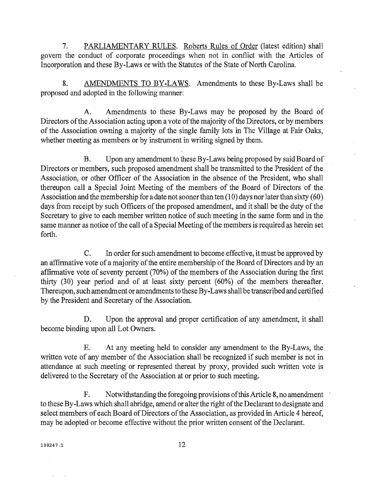7. PARLIAMENTARY RULES. Roberts Rules of Order (latest edition) shall govern the conduct of corporate proceedings when not in conflict with the Articles of Incorporation and these By-Laws or with the Statutes of the State of North Carolina.

8. AMENDMENTS TO BY-LAWS. Amendments to these By-Laws shall be proposed and adopted in the following manner:

A. Amendments to these By-Laws may be proposed by the Board of Directors of the Association acting upon a vote of the majority of the Directors, or by members of the Association owning a majority of the single family lots in The Village at Fair Oaks, whether meeting as members or by instrument in writing signed by them.

B. Upon any amendment to these By-Laws being proposed by said Board of Directors or members, such proposed amendment shall be transmitted to the President of the Association, or other Officer of the Association in the absence of the President, who shall thereupon call a Special Joint Meeting of the members of the Board of Directors of the Association and the membership for a date not sooner than ten (10) days nor later than sixty (60) days from receipt by such Officers of the proposed amendment, and it shall be the duty of the Secretary to give to each member written notice of such meeting in the same form and in the same manner as notice of the call of a Special Meeting of the members is required as herein set forth.

C. In order for such amendment to become effective, it must be approved by an affirmative vote of a majority of the entire membership of the Board of Directors and by an affirmative vote of seventy percent (70%) of the members of the Association during the first thirty (30) year period and of at least sixty percent (60%) of the members thereafter. Thereupon, such amendment or amendments to these By-Laws shall be transcribed and certified by the President and Secretary of the Association.

D. Upon the approval and proper certification of any amendment, it shall become binding upon all Lot Owners.

E. At any meeting held to consider any amendment to the By-Laws, the written vote of any member of the Association shall be recognized if such member is not in attendance at such meeting or represented thereat by proxy, provided such written vote is delivered to the Secretary of the Association at or prior to such meeting.

F. Notwithstanding the foregoing provisions of this Article 8, no amendment to these By-Laws which shall abridge, amend or alter the right of the Declarant to designate and select members of each Board of Directors of the Association, as provided in Article 4 hereof, may be adopted or become effective without the prior written consent of the Declarant.